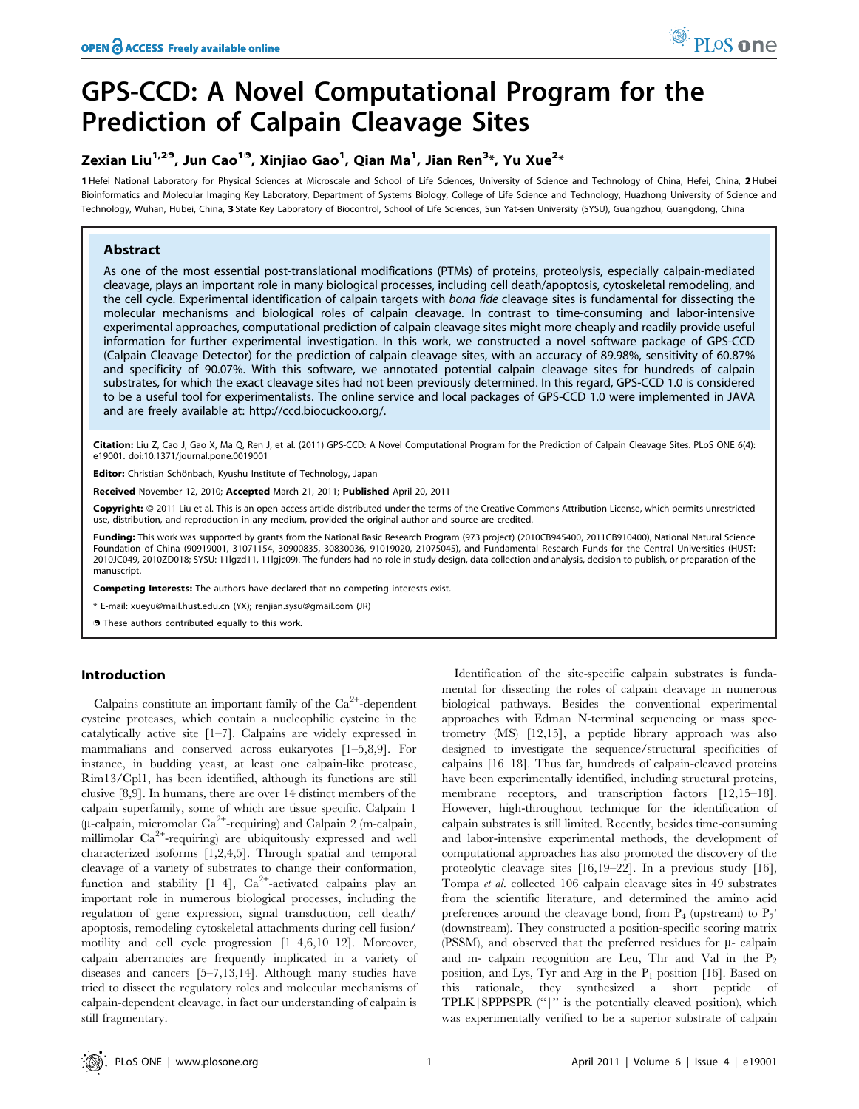# GPS-CCD: A Novel Computational Program for the Prediction of Calpain Cleavage Sites

## Zexian Liu $^{1,2^{\cdot 3}}$ , Jun Cao $^{1^{\cdot 3}}$ , Xinjiao Gao $^{1}$ , Qian Ma $^{1}$ , Jian Ren $^{3*}$ , Yu Xue $^{2*}$

1 Hefei National Laboratory for Physical Sciences at Microscale and School of Life Sciences, University of Science and Technology of China, Hefei, China, 2 Hubei Bioinformatics and Molecular Imaging Key Laboratory, Department of Systems Biology, College of Life Science and Technology, Huazhong University of Science and Technology, Wuhan, Hubei, China, 3 State Key Laboratory of Biocontrol, School of Life Sciences, Sun Yat-sen University (SYSU), Guangzhou, Guangdong, China

## Abstract

As one of the most essential post-translational modifications (PTMs) of proteins, proteolysis, especially calpain-mediated cleavage, plays an important role in many biological processes, including cell death/apoptosis, cytoskeletal remodeling, and the cell cycle. Experimental identification of calpain targets with bona fide cleavage sites is fundamental for dissecting the molecular mechanisms and biological roles of calpain cleavage. In contrast to time-consuming and labor-intensive experimental approaches, computational prediction of calpain cleavage sites might more cheaply and readily provide useful information for further experimental investigation. In this work, we constructed a novel software package of GPS-CCD (Calpain Cleavage Detector) for the prediction of calpain cleavage sites, with an accuracy of 89.98%, sensitivity of 60.87% and specificity of 90.07%. With this software, we annotated potential calpain cleavage sites for hundreds of calpain substrates, for which the exact cleavage sites had not been previously determined. In this regard, GPS-CCD 1.0 is considered to be a useful tool for experimentalists. The online service and local packages of GPS-CCD 1.0 were implemented in JAVA and are freely available at: http://ccd.biocuckoo.org/.

Citation: Liu Z, Cao J, Gao X, Ma Q, Ren J, et al. (2011) GPS-CCD: A Novel Computational Program for the Prediction of Calpain Cleavage Sites. PLoS ONE 6(4): e19001. doi:10.1371/journal.pone.0019001

Editor: Christian Schönbach, Kyushu Institute of Technology, Japan

Received November 12, 2010; Accepted March 21, 2011; Published April 20, 2011

Copyright: © 2011 Liu et al. This is an open-access article distributed under the terms of the Creative Commons Attribution License, which permits unrestricted use, distribution, and reproduction in any medium, provided the original author and source are credited.

Funding: This work was supported by grants from the National Basic Research Program (973 project) (2010CB945400, 2011CB910400), National Natural Science Foundation of China (90919001, 31071154, 30900835, 30830036, 91019020, 21075045), and Fundamental Research Funds for the Central Universities (HUST: 2010JC049, 2010ZD018; SYSU: 11lgzd11, 11lgjc09). The funders had no role in study design, data collection and analysis, decision to publish, or preparation of the manuscript.

Competing Interests: The authors have declared that no competing interests exist.

\* E-mail: xueyu@mail.hust.edu.cn (YX); renjian.sysu@gmail.com (JR)

. These authors contributed equally to this work.

## Introduction

Calpains constitute an important family of the  $Ca^{2+}$ -dependent cysteine proteases, which contain a nucleophilic cysteine in the catalytically active site [1–7]. Calpains are widely expressed in mammalians and conserved across eukaryotes [1–5,8,9]. For instance, in budding yeast, at least one calpain-like protease, Rim13/Cpl1, has been identified, although its functions are still elusive [8,9]. In humans, there are over 14 distinct members of the calpain superfamily, some of which are tissue specific. Calpain 1  $(\mu$ -calpain, micromolar Ca<sup>2+</sup>-requiring) and Calpain 2 (m-calpain, millimolar Ca<sup>2+</sup>-requiring) are ubiquitously expressed and well characterized isoforms [1,2,4,5]. Through spatial and temporal cleavage of a variety of substrates to change their conformation, function and stability  $[1-4]$ ,  $Ca<sup>2+</sup>$ -activated calpains play an important role in numerous biological processes, including the regulation of gene expression, signal transduction, cell death/ apoptosis, remodeling cytoskeletal attachments during cell fusion/ motility and cell cycle progression [1–4,6,10–12]. Moreover, calpain aberrancies are frequently implicated in a variety of diseases and cancers [5–7,13,14]. Although many studies have tried to dissect the regulatory roles and molecular mechanisms of calpain-dependent cleavage, in fact our understanding of calpain is still fragmentary.

Identification of the site-specific calpain substrates is fundamental for dissecting the roles of calpain cleavage in numerous biological pathways. Besides the conventional experimental approaches with Edman N-terminal sequencing or mass spectrometry (MS) [12,15], a peptide library approach was also designed to investigate the sequence/structural specificities of calpains [16–18]. Thus far, hundreds of calpain-cleaved proteins have been experimentally identified, including structural proteins, membrane receptors, and transcription factors [12,15–18]. However, high-throughout technique for the identification of calpain substrates is still limited. Recently, besides time-consuming and labor-intensive experimental methods, the development of computational approaches has also promoted the discovery of the proteolytic cleavage sites [16,19–22]. In a previous study [16], Tompa et al. collected 106 calpain cleavage sites in 49 substrates from the scientific literature, and determined the amino acid preferences around the cleavage bond, from  $P_4$  (upstream) to  $P_7$ ' (downstream). They constructed a position-specific scoring matrix (PSSM), and observed that the preferred residues for  $\mu$ - calpain and m- calpain recognition are Leu, Thr and Val in the  $P_2$ position, and Lys, Tyr and Arg in the  $P_1$  position [16]. Based on this rationale, they synthesized a short peptide of TPLK|SPPPSPR (''|'' is the potentially cleaved position), which was experimentally verified to be a superior substrate of calpain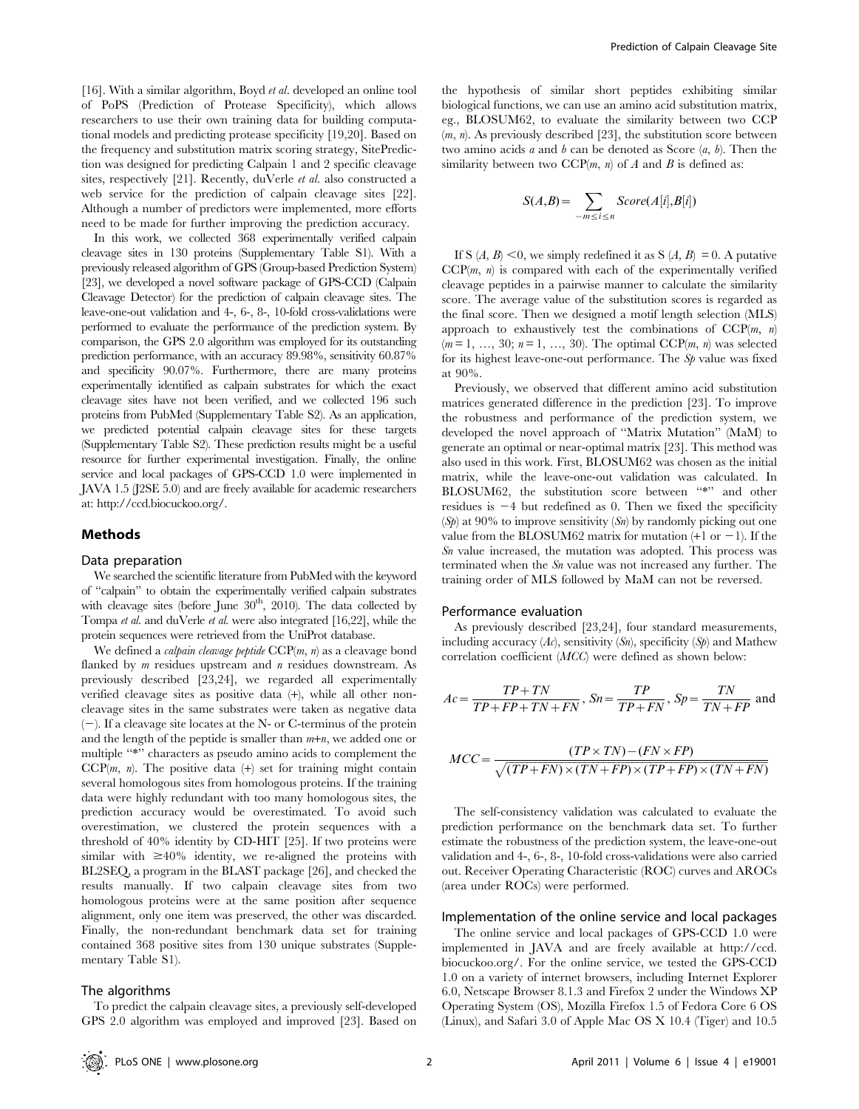[16]. With a similar algorithm, Boyd et al. developed an online tool of PoPS (Prediction of Protease Specificity), which allows researchers to use their own training data for building computational models and predicting protease specificity [19,20]. Based on the frequency and substitution matrix scoring strategy, SitePrediction was designed for predicting Calpain 1 and 2 specific cleavage sites, respectively [21]. Recently, duVerle et al. also constructed a web service for the prediction of calpain cleavage sites [22]. Although a number of predictors were implemented, more efforts need to be made for further improving the prediction accuracy.

In this work, we collected 368 experimentally verified calpain cleavage sites in 130 proteins (Supplementary Table S1). With a previously released algorithm of GPS (Group-based Prediction System) [23], we developed a novel software package of GPS-CCD (Calpain Cleavage Detector) for the prediction of calpain cleavage sites. The leave-one-out validation and 4-, 6-, 8-, 10-fold cross-validations were performed to evaluate the performance of the prediction system. By comparison, the GPS 2.0 algorithm was employed for its outstanding prediction performance, with an accuracy 89.98%, sensitivity 60.87% and specificity 90.07%. Furthermore, there are many proteins experimentally identified as calpain substrates for which the exact cleavage sites have not been verified, and we collected 196 such proteins from PubMed (Supplementary Table S2). As an application, we predicted potential calpain cleavage sites for these targets (Supplementary Table S2). These prediction results might be a useful resource for further experimental investigation. Finally, the online service and local packages of GPS-CCD 1.0 were implemented in JAVA 1.5 (J2SE 5.0) and are freely available for academic researchers at: http://ccd.biocuckoo.org/.

#### Methods

#### Data preparation

We searched the scientific literature from PubMed with the keyword of ''calpain'' to obtain the experimentally verified calpain substrates with cleavage sites (before June  $30<sup>th</sup>$ , 2010). The data collected by Tompa et al. and duVerle et al. were also integrated [16,22], while the protein sequences were retrieved from the UniProt database.

We defined a *calpain cleavage peptide*  $CCP(m, n)$  as a cleavage bond flanked by  $m$  residues upstream and  $n$  residues downstream. As previously described [23,24], we regarded all experimentally verified cleavage sites as positive data (+), while all other noncleavage sites in the same substrates were taken as negative data  $(-)$ . If a cleavage site locates at the N- or C-terminus of the protein and the length of the peptide is smaller than  $m+n$ , we added one or multiple "\*" characters as pseudo amino acids to complement the  $CCP(m, n)$ . The positive data  $(+)$  set for training might contain several homologous sites from homologous proteins. If the training data were highly redundant with too many homologous sites, the prediction accuracy would be overestimated. To avoid such overestimation, we clustered the protein sequences with a threshold of 40% identity by CD-HIT [25]. If two proteins were similar with  $\geq 40\%$  identity, we re-aligned the proteins with BL2SEQ, a program in the BLAST package [26], and checked the results manually. If two calpain cleavage sites from two homologous proteins were at the same position after sequence alignment, only one item was preserved, the other was discarded. Finally, the non-redundant benchmark data set for training contained 368 positive sites from 130 unique substrates (Supplementary Table S1).

#### The algorithms

To predict the calpain cleavage sites, a previously self-developed GPS 2.0 algorithm was employed and improved [23]. Based on the hypothesis of similar short peptides exhibiting similar biological functions, we can use an amino acid substitution matrix, eg., BLOSUM62, to evaluate the similarity between two CCP  $(m, n)$ . As previously described [23], the substitution score between two amino acids  $a$  and  $b$  can be denoted as Score  $(a, b)$ . Then the similarity between two  $CCP(m, n)$  of A and B is defined as:

$$
S(A,B) = \sum_{-m \le i \le n} Score(A[i], B[i])
$$

If S  $(A, B) \le 0$ , we simply redefined it as S  $(A, B) = 0$ . A putative  $CCP(m, n)$  is compared with each of the experimentally verified cleavage peptides in a pairwise manner to calculate the similarity score. The average value of the substitution scores is regarded as the final score. Then we designed a motif length selection (MLS) approach to exhaustively test the combinations of  $CCP(m, n)$  $(m = 1, ..., 30; n = 1, ..., 30)$ . The optimal CCP $(m, n)$  was selected for its highest leave-one-out performance. The  $S_p$  value was fixed at 90%.

Previously, we observed that different amino acid substitution matrices generated difference in the prediction [23]. To improve the robustness and performance of the prediction system, we developed the novel approach of ''Matrix Mutation'' (MaM) to generate an optimal or near-optimal matrix [23]. This method was also used in this work. First, BLOSUM62 was chosen as the initial matrix, while the leave-one-out validation was calculated. In BLOSUM62, the substitution score between "\*" and other residues is  $-4$  but redefined as 0. Then we fixed the specificity  $(S_p)$  at 90% to improve sensitivity  $(S_n)$  by randomly picking out one value from the BLOSUM62 matrix for mutation  $(+1 \text{ or } -1)$ . If the Sn value increased, the mutation was adopted. This process was terminated when the S<sub>n</sub> value was not increased any further. The training order of MLS followed by MaM can not be reversed.

#### Performance evaluation

As previously described [23,24], four standard measurements, including accuracy  $(Ac)$ , sensitivity  $(Sn)$ , specificity  $(Sp)$  and Mathew correlation coefficient (MCC) were defined as shown below:

$$
Ac = \frac{TP + TN}{TP + FP + TN + FN}, \, Sn = \frac{TP}{TP + FN}, \, Sp = \frac{TN}{TN + FP}
$$
 and

$$
MCC = \frac{(TP \times TN) - (FN \times FP)}{\sqrt{(TP + FN) \times (TN + FP) \times (TP + FP) \times (TN + FN)}}
$$

The self-consistency validation was calculated to evaluate the prediction performance on the benchmark data set. To further estimate the robustness of the prediction system, the leave-one-out validation and 4-, 6-, 8-, 10-fold cross-validations were also carried out. Receiver Operating Characteristic (ROC) curves and AROCs (area under ROCs) were performed.

#### Implementation of the online service and local packages

The online service and local packages of GPS-CCD 1.0 were implemented in JAVA and are freely available at http://ccd. biocuckoo.org/. For the online service, we tested the GPS-CCD 1.0 on a variety of internet browsers, including Internet Explorer 6.0, Netscape Browser 8.1.3 and Firefox 2 under the Windows XP Operating System (OS), Mozilla Firefox 1.5 of Fedora Core 6 OS (Linux), and Safari 3.0 of Apple Mac OS X 10.4 (Tiger) and 10.5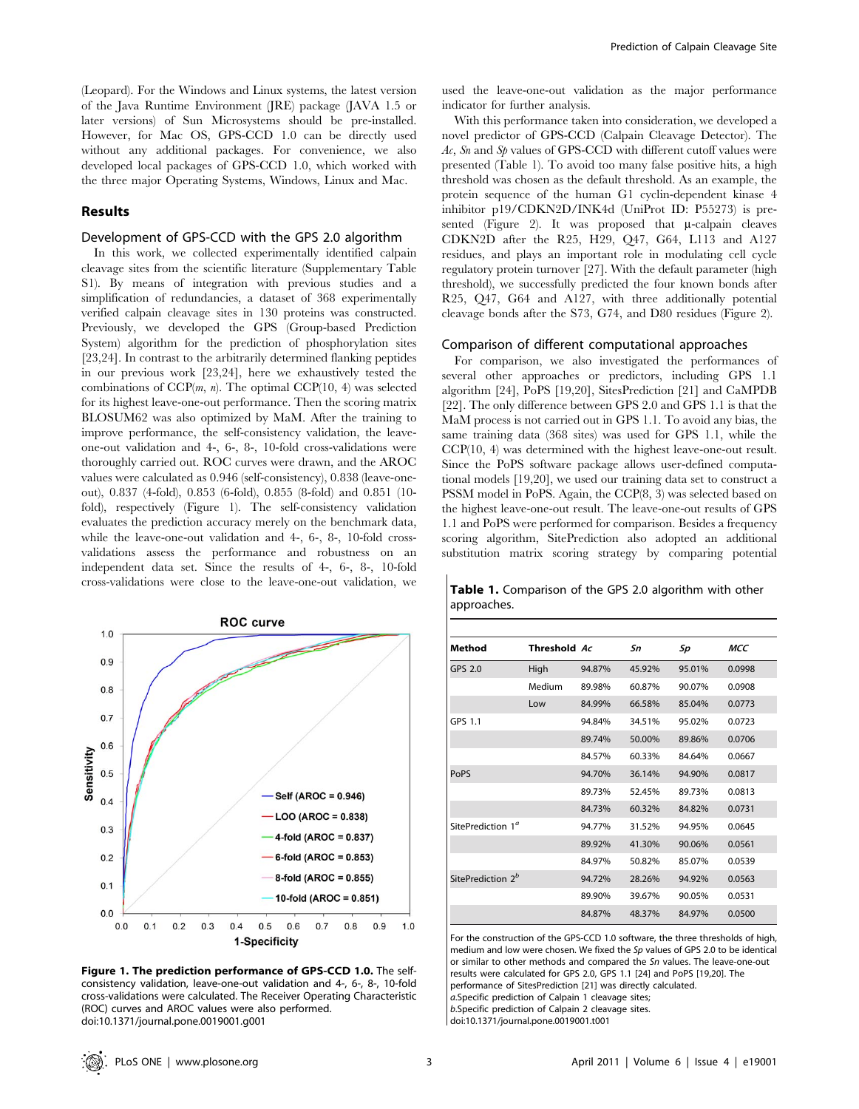(Leopard). For the Windows and Linux systems, the latest version of the Java Runtime Environment (JRE) package (JAVA 1.5 or later versions) of Sun Microsystems should be pre-installed. However, for Mac OS, GPS-CCD 1.0 can be directly used without any additional packages. For convenience, we also developed local packages of GPS-CCD 1.0, which worked with the three major Operating Systems, Windows, Linux and Mac.

## Results

## Development of GPS-CCD with the GPS 2.0 algorithm

In this work, we collected experimentally identified calpain cleavage sites from the scientific literature (Supplementary Table S1). By means of integration with previous studies and a simplification of redundancies, a dataset of 368 experimentally verified calpain cleavage sites in 130 proteins was constructed. Previously, we developed the GPS (Group-based Prediction System) algorithm for the prediction of phosphorylation sites [23,24]. In contrast to the arbitrarily determined flanking peptides in our previous work [23,24], here we exhaustively tested the combinations of  $CCP(m, n)$ . The optimal  $CCP(10, 4)$  was selected for its highest leave-one-out performance. Then the scoring matrix BLOSUM62 was also optimized by MaM. After the training to improve performance, the self-consistency validation, the leaveone-out validation and 4-, 6-, 8-, 10-fold cross-validations were thoroughly carried out. ROC curves were drawn, and the AROC values were calculated as 0.946 (self-consistency), 0.838 (leave-oneout), 0.837 (4-fold), 0.853 (6-fold), 0.855 (8-fold) and 0.851 (10 fold), respectively (Figure 1). The self-consistency validation evaluates the prediction accuracy merely on the benchmark data, while the leave-one-out validation and 4-, 6-, 8-, 10-fold crossvalidations assess the performance and robustness on an independent data set. Since the results of 4-, 6-, 8-, 10-fold cross-validations were close to the leave-one-out validation, we



Figure 1. The prediction performance of GPS-CCD 1.0. The selfconsistency validation, leave-one-out validation and 4-, 6-, 8-, 10-fold cross-validations were calculated. The Receiver Operating Characteristic (ROC) curves and AROC values were also performed. doi:10.1371/journal.pone.0019001.g001

used the leave-one-out validation as the major performance indicator for further analysis.

With this performance taken into consideration, we developed a novel predictor of GPS-CCD (Calpain Cleavage Detector). The  $Ac$ , Sn and Sp values of GPS-CCD with different cutoff values were presented (Table 1). To avoid too many false positive hits, a high threshold was chosen as the default threshold. As an example, the protein sequence of the human G1 cyclin-dependent kinase 4 inhibitor p19/CDKN2D/INK4d (UniProt ID: P55273) is presented (Figure 2). It was proposed that  $\mu$ -calpain cleaves CDKN2D after the R25, H29, Q47, G64, L113 and A127 residues, and plays an important role in modulating cell cycle regulatory protein turnover [27]. With the default parameter (high threshold), we successfully predicted the four known bonds after R25, Q47, G64 and A127, with three additionally potential cleavage bonds after the S73, G74, and D80 residues (Figure 2).

#### Comparison of different computational approaches

For comparison, we also investigated the performances of several other approaches or predictors, including GPS 1.1 algorithm [24], PoPS [19,20], SitesPrediction [21] and CaMPDB [22]. The only difference between GPS 2.0 and GPS 1.1 is that the MaM process is not carried out in GPS 1.1. To avoid any bias, the same training data (368 sites) was used for GPS 1.1, while the CCP(10, 4) was determined with the highest leave-one-out result. Since the PoPS software package allows user-defined computational models [19,20], we used our training data set to construct a PSSM model in PoPS. Again, the CCP(8, 3) was selected based on the highest leave-one-out result. The leave-one-out results of GPS 1.1 and PoPS were performed for comparison. Besides a frequency scoring algorithm, SitePrediction also adopted an additional substitution matrix scoring strategy by comparing potential

|             | Table 1. Comparison of the GPS 2.0 algorithm with other |  |  |  |
|-------------|---------------------------------------------------------|--|--|--|
| approaches. |                                                         |  |  |  |

| Method                        | Threshold Ac |        | Sn     | Sp     | MCC    |
|-------------------------------|--------------|--------|--------|--------|--------|
| GPS 2.0                       | High         | 94.87% | 45.92% | 95.01% | 0.0998 |
|                               | Medium       | 89.98% | 60.87% | 90.07% | 0.0908 |
|                               | Low          | 84.99% | 66.58% | 85.04% | 0.0773 |
| GPS 1.1                       |              | 94.84% | 34.51% | 95.02% | 0.0723 |
|                               |              | 89.74% | 50.00% | 89.86% | 0.0706 |
|                               |              | 84.57% | 60.33% | 84.64% | 0.0667 |
| PoPS                          |              | 94.70% | 36.14% | 94.90% | 0.0817 |
|                               |              | 89.73% | 52.45% | 89.73% | 0.0813 |
|                               |              | 84.73% | 60.32% | 84.82% | 0.0731 |
| SitePrediction 1 <sup>a</sup> |              | 94.77% | 31.52% | 94.95% | 0.0645 |
|                               |              | 89.92% | 41.30% | 90.06% | 0.0561 |
|                               |              | 84.97% | 50.82% | 85.07% | 0.0539 |
| SitePrediction 2 <sup>b</sup> |              | 94.72% | 28.26% | 94.92% | 0.0563 |
|                               |              | 89.90% | 39.67% | 90.05% | 0.0531 |
|                               |              | 84.87% | 48.37% | 84.97% | 0.0500 |

For the construction of the GPS-CCD 1.0 software, the three thresholds of high, medium and low were chosen. We fixed the Sp values of GPS 2.0 to be identical or similar to other methods and compared the Sn values. The leave-one-out results were calculated for GPS 2.0, GPS 1.1 [24] and PoPS [19,20]. The performance of SitesPrediction [21] was directly calculated. a.Specific prediction of Calpain 1 cleavage sites; b.Specific prediction of Calpain 2 cleavage sites.

doi:10.1371/journal.pone.0019001.t001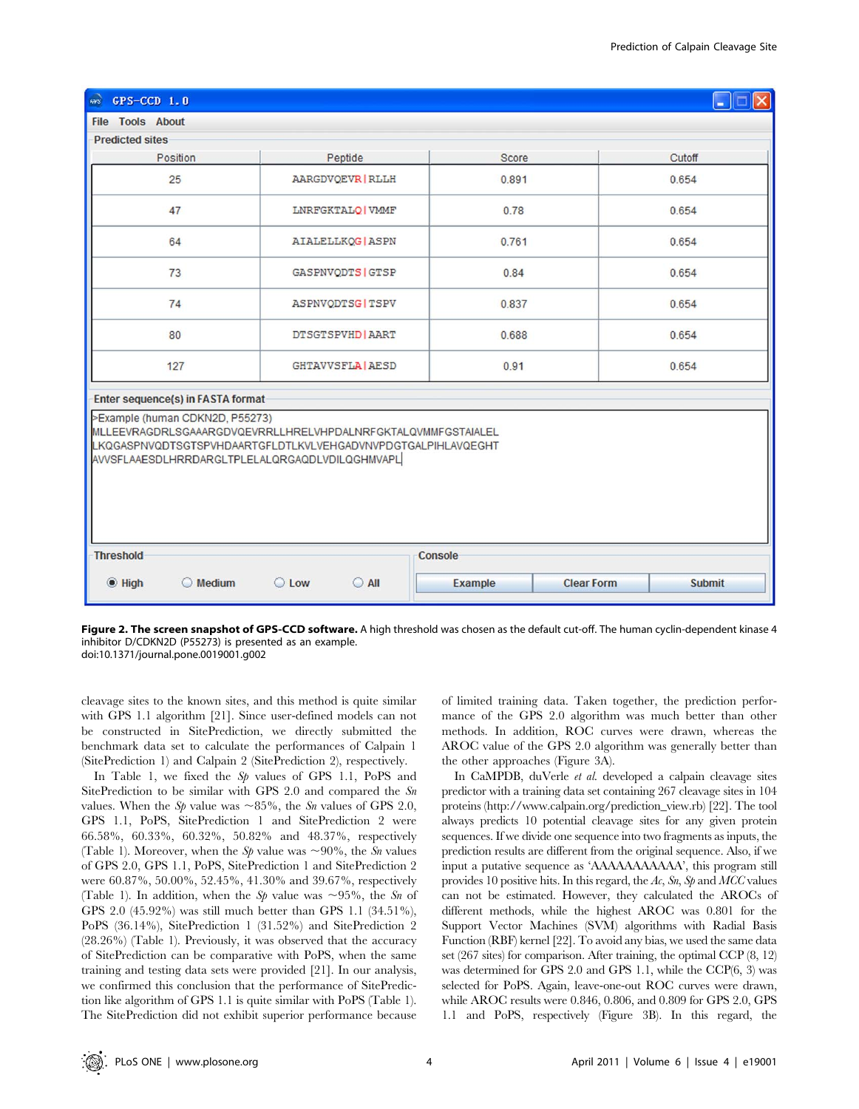

Figure 2. The screen snapshot of GPS-CCD software. A high threshold was chosen as the default cut-off. The human cyclin-dependent kinase 4 inhibitor D/CDKN2D (P55273) is presented as an example. doi:10.1371/journal.pone.0019001.g002

cleavage sites to the known sites, and this method is quite similar with GPS 1.1 algorithm [21]. Since user-defined models can not be constructed in SitePrediction, we directly submitted the benchmark data set to calculate the performances of Calpain 1 (SitePrediction 1) and Calpain 2 (SitePrediction 2), respectively.

In Table 1, we fixed the S<sub>p</sub> values of GPS 1.1, PoPS and SitePrediction to be similar with GPS 2.0 and compared the Sn values. When the Sp value was  $\sim 85\%$ , the Sn values of GPS 2.0, GPS 1.1, PoPS, SitePrediction 1 and SitePrediction 2 were 66.58%, 60.33%, 60.32%, 50.82% and 48.37%, respectively (Table 1). Moreover, when the Sp value was  $\sim 90\%$ , the Sn values of GPS 2.0, GPS 1.1, PoPS, SitePrediction 1 and SitePrediction 2 were 60.87%, 50.00%, 52.45%, 41.30% and 39.67%, respectively (Table 1). In addition, when the Sp value was  $\sim 95\%$ , the Sn of GPS 2.0 (45.92%) was still much better than GPS 1.1 (34.51%), PoPS (36.14%), SitePrediction 1 (31.52%) and SitePrediction 2 (28.26%) (Table 1). Previously, it was observed that the accuracy of SitePrediction can be comparative with PoPS, when the same training and testing data sets were provided [21]. In our analysis, we confirmed this conclusion that the performance of SitePrediction like algorithm of GPS 1.1 is quite similar with PoPS (Table 1). The SitePrediction did not exhibit superior performance because

of limited training data. Taken together, the prediction performance of the GPS 2.0 algorithm was much better than other methods. In addition, ROC curves were drawn, whereas the AROC value of the GPS 2.0 algorithm was generally better than the other approaches (Figure 3A).

In CaMPDB, duVerle et al. developed a calpain cleavage sites predictor with a training data set containing 267 cleavage sites in 104 proteins (http://www.calpain.org/prediction\_view.rb) [22]. The tool always predicts 10 potential cleavage sites for any given protein sequences. If we divide one sequence into two fragments as inputs, the prediction results are different from the original sequence. Also, if we input a putative sequence as 'AAAAAAAAAAA', this program still provides 10 positive hits. In this regard, the  $Ac$ , Sn, Sp and MCC values can not be estimated. However, they calculated the AROCs of different methods, while the highest AROC was 0.801 for the Support Vector Machines (SVM) algorithms with Radial Basis Function (RBF) kernel [22]. To avoid any bias, we used the same data set (267 sites) for comparison. After training, the optimal CCP (8, 12) was determined for GPS 2.0 and GPS 1.1, while the CCP(6, 3) was selected for PoPS. Again, leave-one-out ROC curves were drawn, while AROC results were 0.846, 0.806, and 0.809 for GPS 2.0, GPS 1.1 and PoPS, respectively (Figure 3B). In this regard, the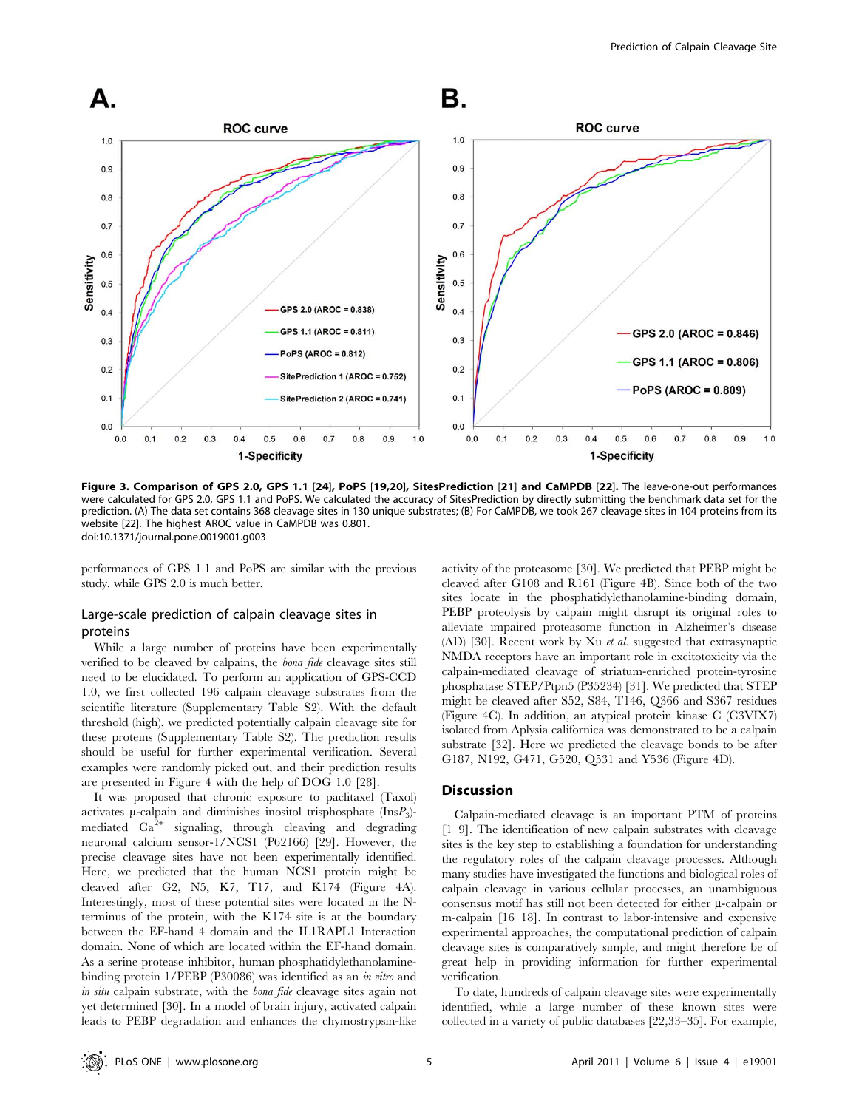

Figure 3. Comparison of GPS 2.0, GPS 1.1 [24], PoPS [19,20], SitesPrediction [21] and CaMPDB [22]. The leave-one-out performances were calculated for GPS 2.0, GPS 1.1 and PoPS. We calculated the accuracy of SitesPrediction by directly submitting the benchmark data set for the prediction. (A) The data set contains 368 cleavage sites in 130 unique substrates; (B) For CaMPDB, we took 267 cleavage sites in 104 proteins from its website [22]. The highest AROC value in CaMPDB was 0.801. doi:10.1371/journal.pone.0019001.g003

performances of GPS 1.1 and PoPS are similar with the previous study, while GPS 2.0 is much better.

## Large-scale prediction of calpain cleavage sites in proteins

While a large number of proteins have been experimentally verified to be cleaved by calpains, the bona fide cleavage sites still need to be elucidated. To perform an application of GPS-CCD 1.0, we first collected 196 calpain cleavage substrates from the scientific literature (Supplementary Table S2). With the default threshold (high), we predicted potentially calpain cleavage site for these proteins (Supplementary Table S2). The prediction results should be useful for further experimental verification. Several examples were randomly picked out, and their prediction results are presented in Figure 4 with the help of DOG 1.0 [28].

It was proposed that chronic exposure to paclitaxel (Taxol) activates  $\mu$ -calpain and diminishes inositol trisphosphate (Ins $P_3$ )mediated  $Ca^{2+}$  signaling, through cleaving and degrading neuronal calcium sensor-1/NCS1 (P62166) [29]. However, the precise cleavage sites have not been experimentally identified. Here, we predicted that the human NCS1 protein might be cleaved after G2, N5, K7, T17, and K174 (Figure 4A). Interestingly, most of these potential sites were located in the Nterminus of the protein, with the K174 site is at the boundary between the EF-hand 4 domain and the IL1RAPL1 Interaction domain. None of which are located within the EF-hand domain. As a serine protease inhibitor, human phosphatidylethanolaminebinding protein 1/PEBP (P30086) was identified as an in vitro and in situ calpain substrate, with the bona fide cleavage sites again not yet determined [30]. In a model of brain injury, activated calpain leads to PEBP degradation and enhances the chymostrypsin-like

activity of the proteasome [30]. We predicted that PEBP might be cleaved after G108 and R161 (Figure 4B). Since both of the two sites locate in the phosphatidylethanolamine-binding domain, PEBP proteolysis by calpain might disrupt its original roles to alleviate impaired proteasome function in Alzheimer's disease (AD) [30]. Recent work by Xu et al. suggested that extrasynaptic NMDA receptors have an important role in excitotoxicity via the calpain-mediated cleavage of striatum-enriched protein-tyrosine phosphatase STEP/Ptpn5 (P35234) [31]. We predicted that STEP might be cleaved after S52, S84, T146, Q366 and S367 residues (Figure 4C). In addition, an atypical protein kinase C (C3VIX7) isolated from Aplysia californica was demonstrated to be a calpain substrate [32]. Here we predicted the cleavage bonds to be after G187, N192, G471, G520, Q531 and Y536 (Figure 4D).

#### **Discussion**

Calpain-mediated cleavage is an important PTM of proteins [1–9]. The identification of new calpain substrates with cleavage sites is the key step to establishing a foundation for understanding the regulatory roles of the calpain cleavage processes. Although many studies have investigated the functions and biological roles of calpain cleavage in various cellular processes, an unambiguous consensus motif has still not been detected for either  $\mu$ -calpain or m-calpain [16–18]. In contrast to labor-intensive and expensive experimental approaches, the computational prediction of calpain cleavage sites is comparatively simple, and might therefore be of great help in providing information for further experimental verification.

To date, hundreds of calpain cleavage sites were experimentally identified, while a large number of these known sites were collected in a variety of public databases [22,33–35]. For example,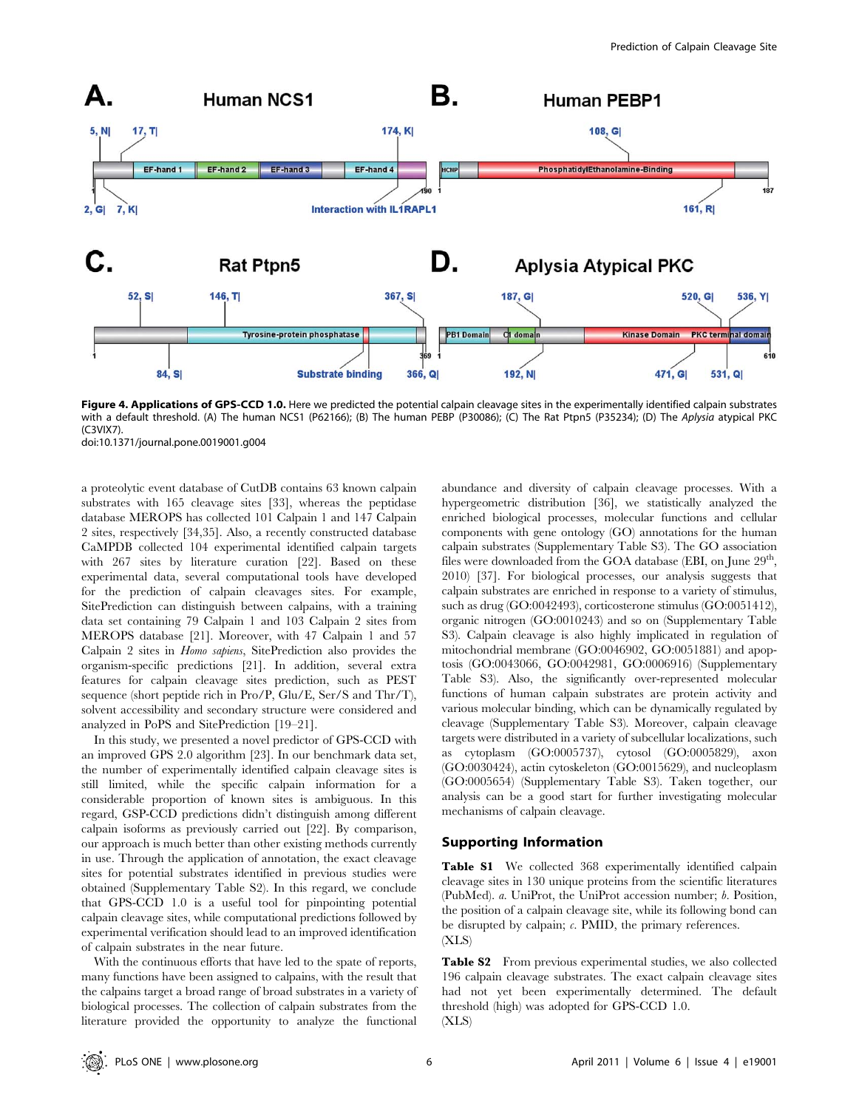

Figure 4. Applications of GPS-CCD 1.0. Here we predicted the potential calpain cleavage sites in the experimentally identified calpain substrates with a default threshold. (A) The human NCS1 (P62166); (B) The human PEBP (P30086); (C) The Rat Ptpn5 (P35234); (D) The Aplysia atypical PKC (C3VIX7).

doi:10.1371/journal.pone.0019001.g004

a proteolytic event database of CutDB contains 63 known calpain substrates with 165 cleavage sites [33], whereas the peptidase database MEROPS has collected 101 Calpain 1 and 147 Calpain 2 sites, respectively [34,35]. Also, a recently constructed database CaMPDB collected 104 experimental identified calpain targets with 267 sites by literature curation [22]. Based on these experimental data, several computational tools have developed for the prediction of calpain cleavages sites. For example, SitePrediction can distinguish between calpains, with a training data set containing 79 Calpain 1 and 103 Calpain 2 sites from MEROPS database [21]. Moreover, with 47 Calpain 1 and 57 Calpain 2 sites in Homo sapiens, SitePrediction also provides the organism-specific predictions [21]. In addition, several extra features for calpain cleavage sites prediction, such as PEST sequence (short peptide rich in Pro/P, Glu/E, Ser/S and Thr/T), solvent accessibility and secondary structure were considered and analyzed in PoPS and SitePrediction [19–21].

In this study, we presented a novel predictor of GPS-CCD with an improved GPS 2.0 algorithm [23]. In our benchmark data set, the number of experimentally identified calpain cleavage sites is still limited, while the specific calpain information for a considerable proportion of known sites is ambiguous. In this regard, GSP-CCD predictions didn't distinguish among different calpain isoforms as previously carried out [22]. By comparison, our approach is much better than other existing methods currently in use. Through the application of annotation, the exact cleavage sites for potential substrates identified in previous studies were obtained (Supplementary Table S2). In this regard, we conclude that GPS-CCD 1.0 is a useful tool for pinpointing potential calpain cleavage sites, while computational predictions followed by experimental verification should lead to an improved identification of calpain substrates in the near future.

With the continuous efforts that have led to the spate of reports, many functions have been assigned to calpains, with the result that the calpains target a broad range of broad substrates in a variety of biological processes. The collection of calpain substrates from the literature provided the opportunity to analyze the functional abundance and diversity of calpain cleavage processes. With a hypergeometric distribution [36], we statistically analyzed the enriched biological processes, molecular functions and cellular components with gene ontology (GO) annotations for the human calpain substrates (Supplementary Table S3). The GO association files were downloaded from the GOA database (EBI, on June  $29<sup>th</sup>$ , 2010) [37]. For biological processes, our analysis suggests that calpain substrates are enriched in response to a variety of stimulus, such as drug (GO:0042493), corticosterone stimulus (GO:0051412), organic nitrogen (GO:0010243) and so on (Supplementary Table S3). Calpain cleavage is also highly implicated in regulation of mitochondrial membrane (GO:0046902, GO:0051881) and apoptosis (GO:0043066, GO:0042981, GO:0006916) (Supplementary Table S3). Also, the significantly over-represented molecular functions of human calpain substrates are protein activity and various molecular binding, which can be dynamically regulated by cleavage (Supplementary Table S3). Moreover, calpain cleavage targets were distributed in a variety of subcellular localizations, such as cytoplasm (GO:0005737), cytosol (GO:0005829), axon (GO:0030424), actin cytoskeleton (GO:0015629), and nucleoplasm (GO:0005654) (Supplementary Table S3). Taken together, our analysis can be a good start for further investigating molecular mechanisms of calpain cleavage.

## Supporting Information

Table S1 We collected 368 experimentally identified calpain cleavage sites in 130 unique proteins from the scientific literatures (PubMed). a. UniProt, the UniProt accession number; b. Position, the position of a calpain cleavage site, while its following bond can be disrupted by calpain; c. PMID, the primary references. (XLS)

Table S2 From previous experimental studies, we also collected 196 calpain cleavage substrates. The exact calpain cleavage sites had not yet been experimentally determined. The default threshold (high) was adopted for GPS-CCD 1.0. (XLS)